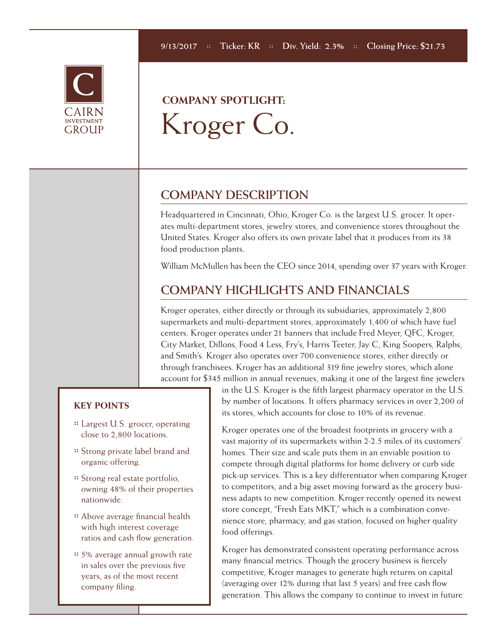

# **COMPANY SPOTLIGHT:**  Kroger Co.

### **COMPANY DESCRIPTION**

Headquartered in Cincinnati, Ohio, Kroger Co. is the largest U.S. grocer. It operates multi-department stores, jewelry stores, and convenience stores throughout the United States. Kroger also offers its own private label that it produces from its 38 food production plants.

William McMullen has been the CEO since 2014, spending over 37 years with Kroger.

## **COMPANY HIGHLIGHTS AND FINANCIALS**

Kroger operates, either directly or through its subsidiaries, approximately 2,800 supermarkets and multi-department stores, approximately 1,400 of which have fuel centers. Kroger operates under 21 banners that include Fred Meyer, QFC, Kroger, City Market, Dillons, Food 4 Less, Fry's, Harris Teeter, Jay C, King Soopers, Ralphs, and Smith's. Kroger also operates over 700 convenience stores, either directly or through franchisees. Kroger has an additional 319 fine jewelry stores, which alone account for \$345 million in annual revenues, making it one of the largest fine jewelers

#### **KEY POINTS**

- **::** Largest U.S. grocer, operating close to 2,800 locations.
- **::** Strong private label brand and organic offering.
- **::** Strong real estate portfolio, owning 48% of their properties nationwide.
- **::** Above average financial health with high interest coverage ratios and cash flow generation.
- **::** 5% average annual growth rate in sales over the previous five years, as of the most recent company filing.

in the U.S. Kroger is the fifth largest pharmacy operator in the U.S. by number of locations. It offers pharmacy services in over 2,200 of its stores, which accounts for close to 10% of its revenue.

Kroger operates one of the broadest footprints in grocery with a vast majority of its supermarkets within 2-2.5 miles of its customers' homes. Their size and scale puts them in an enviable position to compete through digital platforms for home delivery or curb side pick-up services. This is a key differentiator when comparing Kroger to competitors, and a big asset moving forward as the grocery business adapts to new competition. Kroger recently opened its newest store concept, "Fresh Eats MKT," which is a combination convenience store, pharmacy, and gas station, focused on higher quality food offerings.

Kroger has demonstrated consistent operating performance across many financial metrics. Though the grocery business is fiercely competitive, Kroger manages to generate high returns on capital (averaging over 12% during that last 5 years) and free cash flow generation. This allows the company to continue to invest in future